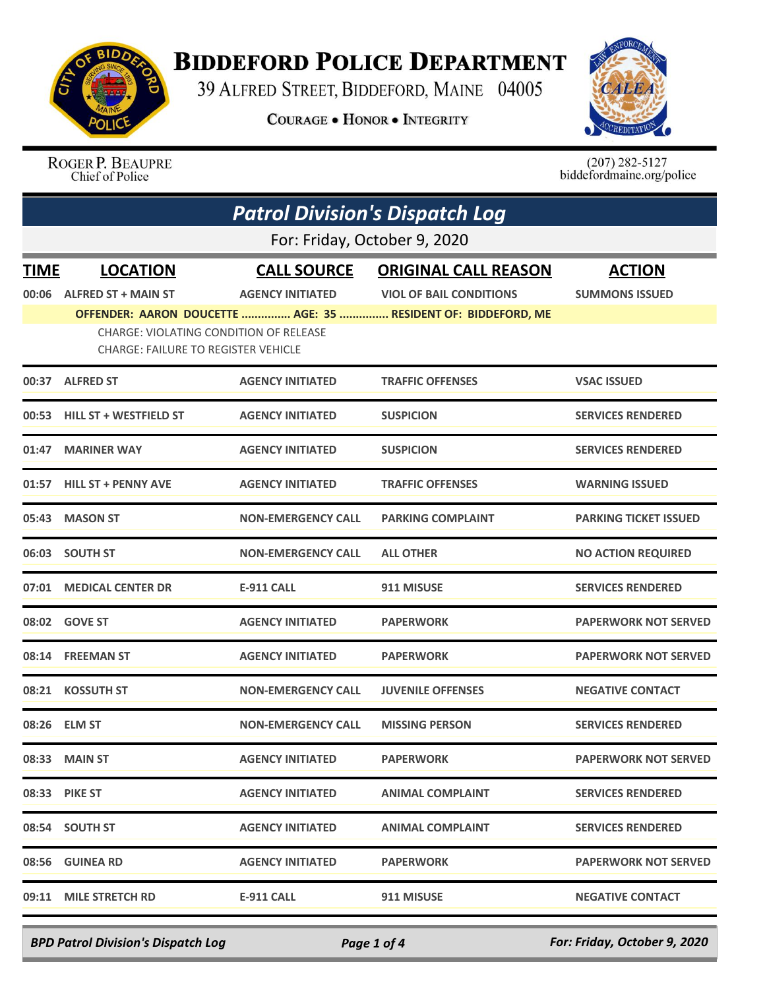

## **BIDDEFORD POLICE DEPARTMENT**

39 ALFRED STREET, BIDDEFORD, MAINE 04005

**COURAGE . HONOR . INTEGRITY** 



ROGER P. BEAUPRE Chief of Police

 $(207)$  282-5127<br>biddefordmaine.org/police

|             | <b>Patrol Division's Dispatch Log</b>                                                       |                           |                                                               |                              |  |  |
|-------------|---------------------------------------------------------------------------------------------|---------------------------|---------------------------------------------------------------|------------------------------|--|--|
|             | For: Friday, October 9, 2020                                                                |                           |                                                               |                              |  |  |
| <b>TIME</b> | <b>LOCATION</b>                                                                             | <b>CALL SOURCE</b>        | <b>ORIGINAL CALL REASON</b>                                   | <b>ACTION</b>                |  |  |
| 00:06       | <b>ALFRED ST + MAIN ST</b>                                                                  | <b>AGENCY INITIATED</b>   | <b>VIOL OF BAIL CONDITIONS</b>                                | <b>SUMMONS ISSUED</b>        |  |  |
|             |                                                                                             |                           | OFFENDER: AARON DOUCETTE  AGE: 35  RESIDENT OF: BIDDEFORD, ME |                              |  |  |
|             | <b>CHARGE: VIOLATING CONDITION OF RELEASE</b><br><b>CHARGE: FAILURE TO REGISTER VEHICLE</b> |                           |                                                               |                              |  |  |
|             | 00:37 ALFRED ST                                                                             | <b>AGENCY INITIATED</b>   | <b>TRAFFIC OFFENSES</b>                                       | <b>VSAC ISSUED</b>           |  |  |
|             | 00:53 HILL ST + WESTFIELD ST                                                                | <b>AGENCY INITIATED</b>   | <b>SUSPICION</b>                                              | <b>SERVICES RENDERED</b>     |  |  |
| 01:47       | <b>MARINER WAY</b>                                                                          | <b>AGENCY INITIATED</b>   | <b>SUSPICION</b>                                              | <b>SERVICES RENDERED</b>     |  |  |
|             | 01:57 HILL ST + PENNY AVE                                                                   | <b>AGENCY INITIATED</b>   | <b>TRAFFIC OFFENSES</b>                                       | <b>WARNING ISSUED</b>        |  |  |
|             | 05:43 MASON ST                                                                              | <b>NON-EMERGENCY CALL</b> | <b>PARKING COMPLAINT</b>                                      | <b>PARKING TICKET ISSUED</b> |  |  |
|             | 06:03 SOUTH ST                                                                              | <b>NON-EMERGENCY CALL</b> | <b>ALL OTHER</b>                                              | <b>NO ACTION REQUIRED</b>    |  |  |
|             | 07:01 MEDICAL CENTER DR                                                                     | <b>E-911 CALL</b>         | 911 MISUSE                                                    | <b>SERVICES RENDERED</b>     |  |  |
|             | 08:02 GOVE ST                                                                               | <b>AGENCY INITIATED</b>   | <b>PAPERWORK</b>                                              | <b>PAPERWORK NOT SERVED</b>  |  |  |
|             | 08:14 FREEMAN ST                                                                            | <b>AGENCY INITIATED</b>   | <b>PAPERWORK</b>                                              | <b>PAPERWORK NOT SERVED</b>  |  |  |
|             | 08:21 KOSSUTH ST                                                                            | <b>NON-EMERGENCY CALL</b> | <b>JUVENILE OFFENSES</b>                                      | <b>NEGATIVE CONTACT</b>      |  |  |
|             | 08:26 ELM ST                                                                                | <b>NON-EMERGENCY CALL</b> | <b>MISSING PERSON</b>                                         | <b>SERVICES RENDERED</b>     |  |  |
|             | 08:33 MAIN ST                                                                               | <b>AGENCY INITIATED</b>   | <b>PAPERWORK</b>                                              | <b>PAPERWORK NOT SERVED</b>  |  |  |
|             | 08:33 PIKE ST                                                                               | <b>AGENCY INITIATED</b>   | <b>ANIMAL COMPLAINT</b>                                       | <b>SERVICES RENDERED</b>     |  |  |
|             | 08:54 SOUTH ST                                                                              | <b>AGENCY INITIATED</b>   | <b>ANIMAL COMPLAINT</b>                                       | <b>SERVICES RENDERED</b>     |  |  |
|             | 08:56 GUINEA RD                                                                             | <b>AGENCY INITIATED</b>   | <b>PAPERWORK</b>                                              | <b>PAPERWORK NOT SERVED</b>  |  |  |
|             | 09:11 MILE STRETCH RD                                                                       | <b>E-911 CALL</b>         | 911 MISUSE                                                    | <b>NEGATIVE CONTACT</b>      |  |  |
|             |                                                                                             |                           |                                                               |                              |  |  |

*BPD Patrol Division's Dispatch Log Page 1 of 4 For: Friday, October 9, 2020*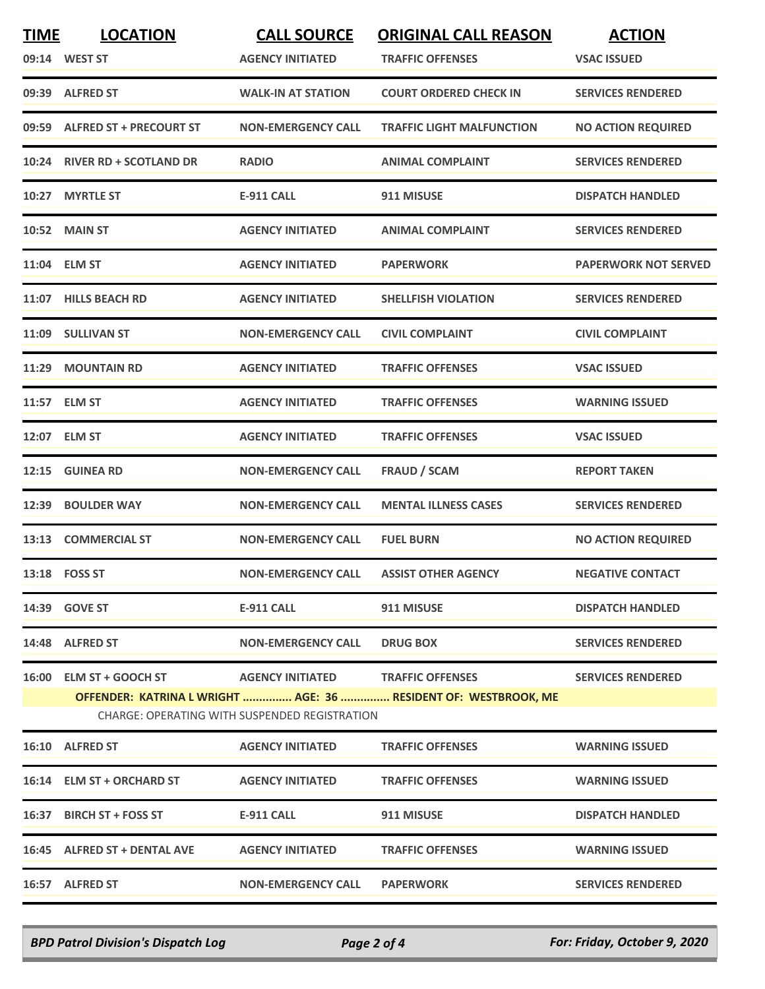| <b>TIME</b>                                   | <b>LOCATION</b>               | <b>CALL SOURCE</b>                | <b>ORIGINAL CALL REASON</b>                                     | <b>ACTION</b>               |  |
|-----------------------------------------------|-------------------------------|-----------------------------------|-----------------------------------------------------------------|-----------------------------|--|
|                                               | 09:14 WEST ST                 | <b>AGENCY INITIATED</b>           | <b>TRAFFIC OFFENSES</b>                                         | <b>VSAC ISSUED</b>          |  |
|                                               | 09:39 ALFRED ST               | <b>WALK-IN AT STATION</b>         | <b>COURT ORDERED CHECK IN</b>                                   | <b>SERVICES RENDERED</b>    |  |
|                                               | 09:59 ALFRED ST + PRECOURT ST | <b>NON-EMERGENCY CALL</b>         | <b>TRAFFIC LIGHT MALFUNCTION</b>                                | <b>NO ACTION REQUIRED</b>   |  |
|                                               | 10:24 RIVER RD + SCOTLAND DR  | <b>RADIO</b>                      | <b>ANIMAL COMPLAINT</b>                                         | <b>SERVICES RENDERED</b>    |  |
| 10:27                                         | <b>MYRTLE ST</b>              | <b>E-911 CALL</b>                 | 911 MISUSE                                                      | <b>DISPATCH HANDLED</b>     |  |
|                                               | 10:52 MAIN ST                 | <b>AGENCY INITIATED</b>           | <b>ANIMAL COMPLAINT</b>                                         | <b>SERVICES RENDERED</b>    |  |
| 11:04                                         | <b>ELM ST</b>                 | <b>AGENCY INITIATED</b>           | <b>PAPERWORK</b>                                                | <b>PAPERWORK NOT SERVED</b> |  |
|                                               | 11:07 HILLS BEACH RD          | <b>AGENCY INITIATED</b>           | <b>SHELLFISH VIOLATION</b>                                      | <b>SERVICES RENDERED</b>    |  |
|                                               | 11:09 SULLIVAN ST             | <b>NON-EMERGENCY CALL</b>         | <b>CIVIL COMPLAINT</b>                                          | <b>CIVIL COMPLAINT</b>      |  |
| 11:29                                         | <b>MOUNTAIN RD</b>            | <b>AGENCY INITIATED</b>           | <b>TRAFFIC OFFENSES</b>                                         | <b>VSAC ISSUED</b>          |  |
|                                               | 11:57 ELM ST                  | <b>AGENCY INITIATED</b>           | <b>TRAFFIC OFFENSES</b>                                         | <b>WARNING ISSUED</b>       |  |
|                                               | 12:07 ELM ST                  | <b>AGENCY INITIATED</b>           | <b>TRAFFIC OFFENSES</b>                                         | <b>VSAC ISSUED</b>          |  |
|                                               | 12:15 GUINEA RD               | <b>NON-EMERGENCY CALL</b>         | <b>FRAUD / SCAM</b>                                             | <b>REPORT TAKEN</b>         |  |
| 12:39                                         | <b>BOULDER WAY</b>            | <b>NON-EMERGENCY CALL</b>         | <b>MENTAL ILLNESS CASES</b>                                     | <b>SERVICES RENDERED</b>    |  |
|                                               | 13:13 COMMERCIAL ST           | <b>NON-EMERGENCY CALL</b>         | <b>FUEL BURN</b>                                                | <b>NO ACTION REQUIRED</b>   |  |
|                                               | 13:18 FOSS ST                 | <b>NON-EMERGENCY CALL</b>         | <b>ASSIST OTHER AGENCY</b>                                      | <b>NEGATIVE CONTACT</b>     |  |
|                                               | 14:39 GOVE ST                 | E-911 CALL                        | 911 MISUSE                                                      | <b>DISPATCH HANDLED</b>     |  |
|                                               | 14:48 ALFRED ST               | <b>NON-EMERGENCY CALL</b>         | <b>DRUG BOX</b>                                                 | <b>SERVICES RENDERED</b>    |  |
|                                               | 16:00 ELM ST + GOOCH ST       | AGENCY INITIATED TRAFFIC OFFENSES |                                                                 | <b>SERVICES RENDERED</b>    |  |
|                                               |                               |                                   | OFFENDER: KATRINA L WRIGHT  AGE: 36  RESIDENT OF: WESTBROOK, ME |                             |  |
| CHARGE: OPERATING WITH SUSPENDED REGISTRATION |                               |                                   |                                                                 |                             |  |
|                                               | 16:10 ALFRED ST               | <b>AGENCY INITIATED</b>           | <b>TRAFFIC OFFENSES</b>                                         | <b>WARNING ISSUED</b>       |  |
|                                               | 16:14 ELM ST + ORCHARD ST     | <b>AGENCY INITIATED</b>           | <b>TRAFFIC OFFENSES</b>                                         | <b>WARNING ISSUED</b>       |  |
|                                               | 16:37 BIRCH ST + FOSS ST      | E-911 CALL                        | 911 MISUSE                                                      | <b>DISPATCH HANDLED</b>     |  |
|                                               | 16:45 ALFRED ST + DENTAL AVE  | <b>AGENCY INITIATED</b>           | <b>TRAFFIC OFFENSES</b>                                         | <b>WARNING ISSUED</b>       |  |
|                                               | 16:57 ALFRED ST               | <b>NON-EMERGENCY CALL</b>         | <b>PAPERWORK</b>                                                | <b>SERVICES RENDERED</b>    |  |
|                                               |                               |                                   |                                                                 |                             |  |

*BPD Patrol Division's Dispatch Log Page 2 of 4 For: Friday, October 9, 2020*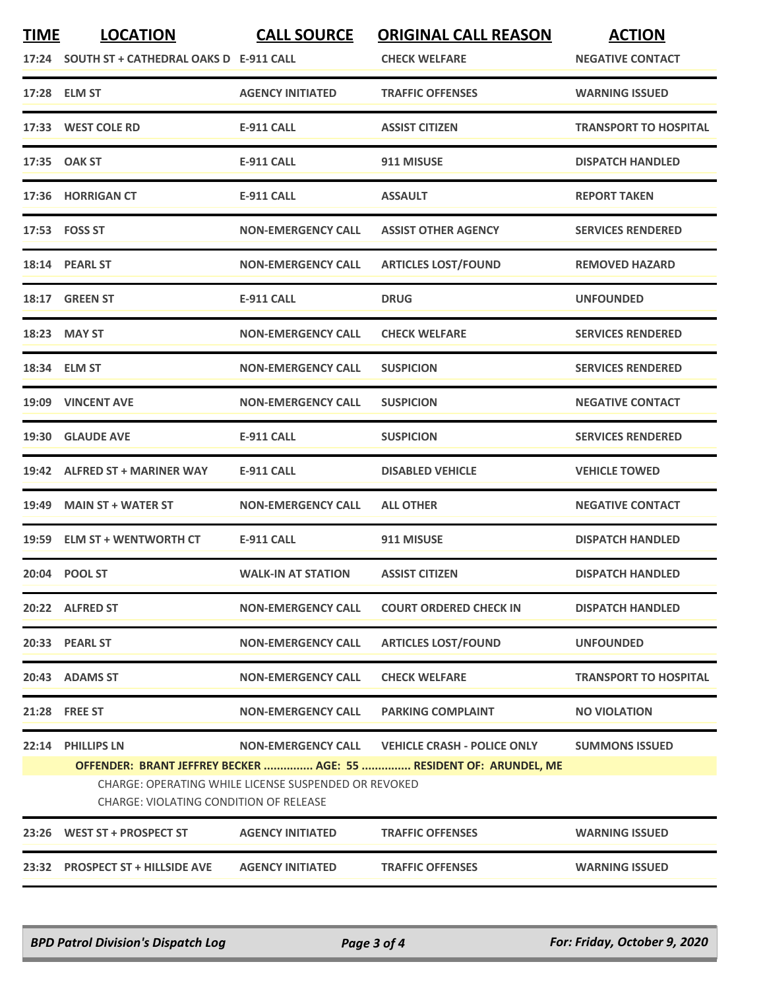| <b>TIME</b> | <b>LOCATION</b><br>17:24 SOUTH ST + CATHEDRAL OAKS D E-911 CALL                                | <b>CALL SOURCE</b>        | <b>ORIGINAL CALL REASON</b><br><b>CHECK WELFARE</b>                                                     | <b>ACTION</b><br><b>NEGATIVE CONTACT</b> |  |
|-------------|------------------------------------------------------------------------------------------------|---------------------------|---------------------------------------------------------------------------------------------------------|------------------------------------------|--|
|             | 17:28 ELM ST                                                                                   | <b>AGENCY INITIATED</b>   | <b>TRAFFIC OFFENSES</b>                                                                                 | <b>WARNING ISSUED</b>                    |  |
|             | 17:33 WEST COLE RD                                                                             | <b>E-911 CALL</b>         | <b>ASSIST CITIZEN</b>                                                                                   | <b>TRANSPORT TO HOSPITAL</b>             |  |
|             | 17:35 OAK ST                                                                                   | <b>E-911 CALL</b>         | 911 MISUSE                                                                                              | <b>DISPATCH HANDLED</b>                  |  |
|             | 17:36 HORRIGAN CT                                                                              | <b>E-911 CALL</b>         | <b>ASSAULT</b>                                                                                          | <b>REPORT TAKEN</b>                      |  |
|             | 17:53 FOSS ST                                                                                  | <b>NON-EMERGENCY CALL</b> | <b>ASSIST OTHER AGENCY</b>                                                                              | <b>SERVICES RENDERED</b>                 |  |
|             | 18:14 PEARL ST                                                                                 | <b>NON-EMERGENCY CALL</b> | <b>ARTICLES LOST/FOUND</b>                                                                              | <b>REMOVED HAZARD</b>                    |  |
|             | 18:17 GREEN ST                                                                                 | <b>E-911 CALL</b>         | <b>DRUG</b>                                                                                             | <b>UNFOUNDED</b>                         |  |
|             | 18:23 MAY ST                                                                                   | <b>NON-EMERGENCY CALL</b> | <b>CHECK WELFARE</b>                                                                                    | <b>SERVICES RENDERED</b>                 |  |
|             | 18:34 ELM ST                                                                                   | <b>NON-EMERGENCY CALL</b> | <b>SUSPICION</b>                                                                                        | <b>SERVICES RENDERED</b>                 |  |
|             | 19:09 VINCENT AVE                                                                              | <b>NON-EMERGENCY CALL</b> | <b>SUSPICION</b>                                                                                        | <b>NEGATIVE CONTACT</b>                  |  |
|             | 19:30 GLAUDE AVE                                                                               | <b>E-911 CALL</b>         | <b>SUSPICION</b>                                                                                        | <b>SERVICES RENDERED</b>                 |  |
|             | 19:42 ALFRED ST + MARINER WAY                                                                  | <b>E-911 CALL</b>         | <b>DISABLED VEHICLE</b>                                                                                 | <b>VEHICLE TOWED</b>                     |  |
|             | 19:49 MAIN ST + WATER ST                                                                       | <b>NON-EMERGENCY CALL</b> | <b>ALL OTHER</b>                                                                                        | <b>NEGATIVE CONTACT</b>                  |  |
|             | 19:59 ELM ST + WENTWORTH CT                                                                    | <b>E-911 CALL</b>         | 911 MISUSE                                                                                              | <b>DISPATCH HANDLED</b>                  |  |
|             | 20:04 POOL ST                                                                                  | <b>WALK-IN AT STATION</b> | <b>ASSIST CITIZEN</b>                                                                                   | <b>DISPATCH HANDLED</b>                  |  |
|             | 20:22 ALFRED ST                                                                                | <b>NON-EMERGENCY CALL</b> | <b>COURT ORDERED CHECK IN</b>                                                                           | <b>DISPATCH HANDLED</b>                  |  |
|             | 20:33 PEARL ST                                                                                 | <b>NON-EMERGENCY CALL</b> | <b>ARTICLES LOST/FOUND</b>                                                                              | <b>UNFOUNDED</b>                         |  |
|             | 20:43 ADAMS ST                                                                                 | <b>NON-EMERGENCY CALL</b> | <b>CHECK WELFARE</b>                                                                                    | <b>TRANSPORT TO HOSPITAL</b>             |  |
|             | 21:28 FREE ST                                                                                  | <b>NON-EMERGENCY CALL</b> | <b>PARKING COMPLAINT</b>                                                                                | <b>NO VIOLATION</b>                      |  |
| 22:14       | <b>PHILLIPS LN</b>                                                                             | <b>NON-EMERGENCY CALL</b> | <b>VEHICLE CRASH - POLICE ONLY</b><br>OFFENDER: BRANT JEFFREY BECKER  AGE: 55  RESIDENT OF: ARUNDEL, ME | <b>SUMMONS ISSUED</b>                    |  |
|             | CHARGE: OPERATING WHILE LICENSE SUSPENDED OR REVOKED<br>CHARGE: VIOLATING CONDITION OF RELEASE |                           |                                                                                                         |                                          |  |
| 23:26       | WEST ST + PROSPECT ST                                                                          | <b>AGENCY INITIATED</b>   | <b>TRAFFIC OFFENSES</b>                                                                                 | <b>WARNING ISSUED</b>                    |  |
|             | 23:32 PROSPECT ST + HILLSIDE AVE                                                               | <b>AGENCY INITIATED</b>   | <b>TRAFFIC OFFENSES</b>                                                                                 | <b>WARNING ISSUED</b>                    |  |

*BPD Patrol Division's Dispatch Log Page 3 of 4 For: Friday, October 9, 2020*